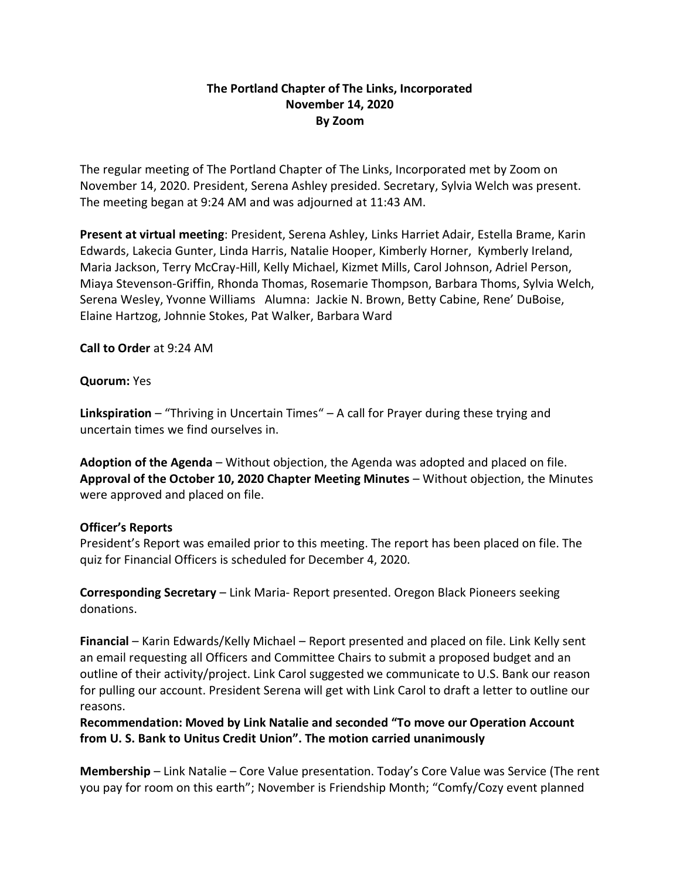## **The Portland Chapter of The Links, Incorporated November 14, 2020 By Zoom**

The regular meeting of The Portland Chapter of The Links, Incorporated met by Zoom on November 14, 2020. President, Serena Ashley presided. Secretary, Sylvia Welch was present. The meeting began at 9:24 AM and was adjourned at 11:43 AM.

**Present at virtual meeting**: President, Serena Ashley, Links Harriet Adair, Estella Brame, Karin Edwards, Lakecia Gunter, Linda Harris, Natalie Hooper, Kimberly Horner, Kymberly Ireland, Maria Jackson, Terry McCray-Hill, Kelly Michael, Kizmet Mills, Carol Johnson, Adriel Person, Miaya Stevenson-Griffin, Rhonda Thomas, Rosemarie Thompson, Barbara Thoms, Sylvia Welch, Serena Wesley, Yvonne Williams Alumna: Jackie N. Brown, Betty Cabine, Rene' DuBoise, Elaine Hartzog, Johnnie Stokes, Pat Walker, Barbara Ward

**Call to Order** at 9:24 AM

## **Quorum:** Yes

**Linkspiration** – "Thriving in Uncertain Times" – A call for Prayer during these trying and uncertain times we find ourselves in.

**Adoption of the Agenda** – Without objection, the Agenda was adopted and placed on file. **Approval of the October 10, 2020 Chapter Meeting Minutes** – Without objection, the Minutes were approved and placed on file.

## **Officer's Reports**

President's Report was emailed prior to this meeting. The report has been placed on file. The quiz for Financial Officers is scheduled for December 4, 2020.

**Corresponding Secretary** – Link Maria- Report presented. Oregon Black Pioneers seeking donations.

**Financial** – Karin Edwards/Kelly Michael – Report presented and placed on file. Link Kelly sent an email requesting all Officers and Committee Chairs to submit a proposed budget and an outline of their activity/project. Link Carol suggested we communicate to U.S. Bank our reason for pulling our account. President Serena will get with Link Carol to draft a letter to outline our reasons.

**Recommendation: Moved by Link Natalie and seconded "To move our Operation Account from U. S. Bank to Unitus Credit Union". The motion carried unanimously**

**Membership** – Link Natalie – Core Value presentation. Today's Core Value was Service (The rent you pay for room on this earth"; November is Friendship Month; "Comfy/Cozy event planned